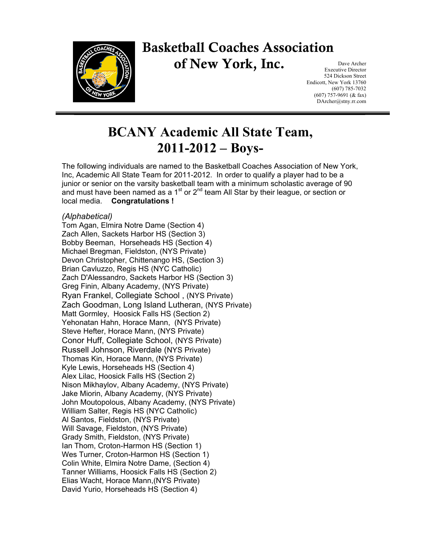

## **Basketball Coaches Association of New York, Inc.**

Dave Archer Executive Director 524 Dickson Street Endicott, New York 13760 (607) 785-7032 (607) 757-9691 (& fax) DArcher@stny.rr.com

## **BCANY Academic All State Team, 2011-2012 – Boys-**

The following individuals are named to the Basketball Coaches Association of New York, Inc, Academic All State Team for 2011-2012. In order to qualify a player had to be a junior or senior on the varsity basketball team with a minimum scholastic average of 90 and must have been named as a 1<sup>st</sup> or  $2<sup>nd</sup>$  team All Star by their league, or section or local media. **Congratulations !** 

## *(Alphabetical)*

Tom Agan, Elmira Notre Dame (Section 4) Zach Allen, Sackets Harbor HS (Section 3) Bobby Beeman, Horseheads HS (Section 4) Michael Bregman, Fieldston, (NYS Private) Devon Christopher, Chittenango HS, (Section 3) Brian Cavluzzo, Regis HS (NYC Catholic) Zach D'Alessandro, Sackets Harbor HS (Section 3) Greg Finin, Albany Academy, (NYS Private) Ryan Frankel, Collegiate School , (NYS Private) Zach Goodman, Long Island Lutheran, (NYS Private) Matt Gormley, Hoosick Falls HS (Section 2) Yehonatan Hahn, Horace Mann, (NYS Private) Steve Hefter, Horace Mann, (NYS Private) Conor Huff, Collegiate School, (NYS Private) Russell Johnson, Riverdale (NYS Private) Thomas Kin, Horace Mann, (NYS Private) Kyle Lewis, Horseheads HS (Section 4) Alex Lilac, Hoosick Falls HS (Section 2) Nison Mikhaylov, Albany Academy, (NYS Private) Jake Miorin, Albany Academy, (NYS Private) John Moutopolous, Albany Academy, (NYS Private) William Salter, Regis HS (NYC Catholic) Al Santos, Fieldston, (NYS Private) Will Savage, Fieldston, (NYS Private) Grady Smith, Fieldston, (NYS Private) Ian Thom, Croton-Harmon HS (Section 1) Wes Turner, Croton-Harmon HS (Section 1) Colin White, Elmira Notre Dame, (Section 4) Tanner Williams, Hoosick Falls HS (Section 2) Elias Wacht, Horace Mann,(NYS Private) David Yurio, Horseheads HS (Section 4)